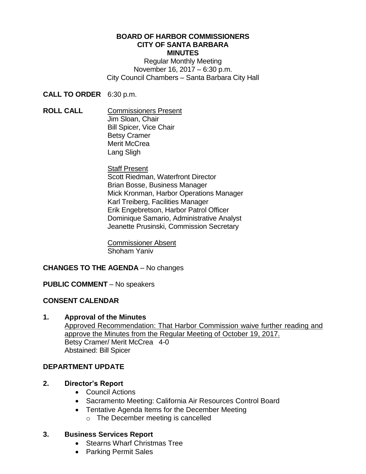#### **BOARD OF HARBOR COMMISSIONERS CITY OF SANTA BARBARA MINUTES**

Regular Monthly Meeting November 16, 2017 – 6:30 p.m. City Council Chambers – Santa Barbara City Hall

**CALL TO ORDER** 6:30 p.m.

**ROLL CALL** Commissioners Present Jim Sloan, Chair Bill Spicer, Vice Chair Betsy Cramer Merit McCrea Lang Sligh

#### Staff Present Scott Riedman, Waterfront Director Brian Bosse, Business Manager Mick Kronman, Harbor Operations Manager Karl Treiberg, Facilities Manager Erik Engebretson, Harbor Patrol Officer Dominique Samario, Administrative Analyst Jeanette Prusinski, Commission Secretary

Commissioner Absent Shoham Yaniv

# **CHANGES TO THE AGENDA** – No changes

## **PUBLIC COMMENT** – No speakers

## **CONSENT CALENDAR**

### **1. Approval of the Minutes**

Approved Recommendation: That Harbor Commission waive further reading and approve the Minutes from the Regular Meeting of October 19, 2017. Betsy Cramer/ Merit McCrea 4-0 Abstained: Bill Spicer

## **DEPARTMENT UPDATE**

## **2. Director's Report**

- Council Actions
- Sacramento Meeting: California Air Resources Control Board
- Tentative Agenda Items for the December Meeting
	- o The December meeting is cancelled

## **3. Business Services Report**

- Stearns Wharf Christmas Tree
- Parking Permit Sales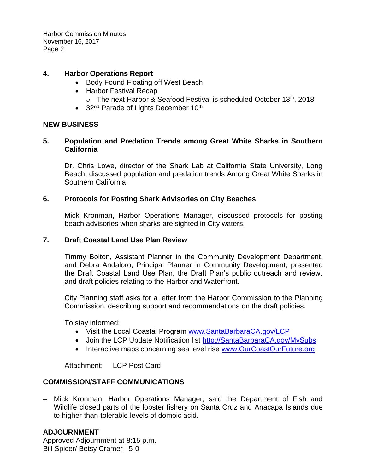Harbor Commission Minutes November 16, 2017 Page 2

### **4. Harbor Operations Report**

- Body Found Floating off West Beach
- Harbor Festival Recap
	- o The next Harbor & Seafood Festival is scheduled October 13th, 2018
- $\bullet$  32<sup>nd</sup> Parade of Lights December 10<sup>th</sup>

### **NEW BUSINESS**

### **5. Population and Predation Trends among Great White Sharks in Southern California**

Dr. Chris Lowe, director of the Shark Lab at California State University, Long Beach, discussed population and predation trends Among Great White Sharks in Southern California.

### **6. Protocols for Posting Shark Advisories on City Beaches**

Mick Kronman, Harbor Operations Manager, discussed protocols for posting beach advisories when sharks are sighted in City waters.

### **7. Draft Coastal Land Use Plan Review**

Timmy Bolton, Assistant Planner in the Community Development Department, and Debra Andaloro, Principal Planner in Community Development, presented the Draft Coastal Land Use Plan, the Draft Plan's public outreach and review, and draft policies relating to the Harbor and Waterfront.

City Planning staff asks for a letter from the Harbor Commission to the Planning Commission, describing support and recommendations on the draft policies.

To stay informed:

- Visit the Local Coastal Program [www.SantaBarbaraCA.gov/LCP](http://www.santabarbaraca.gov/LCP)
- Join the LCP Update Notification list [http://SantaBarbaraCA.gov/MySubs](http://santabarbaraca.gov/MySubs)
- Interactive maps concerning sea level rise [www.OurCoastOurFuture.org](http://www.ourcoastourfuture.org/)

Attachment: LCP Post Card

## **COMMISSION/STAFF COMMUNICATIONS**

 Mick Kronman, Harbor Operations Manager, said the Department of Fish and Wildlife closed parts of the lobster fishery on Santa Cruz and Anacapa Islands due to higher-than-tolerable levels of domoic acid.

## **ADJOURNMENT**

Approved Adjournment at 8:15 p.m. Bill Spicer/ Betsy Cramer 5-0